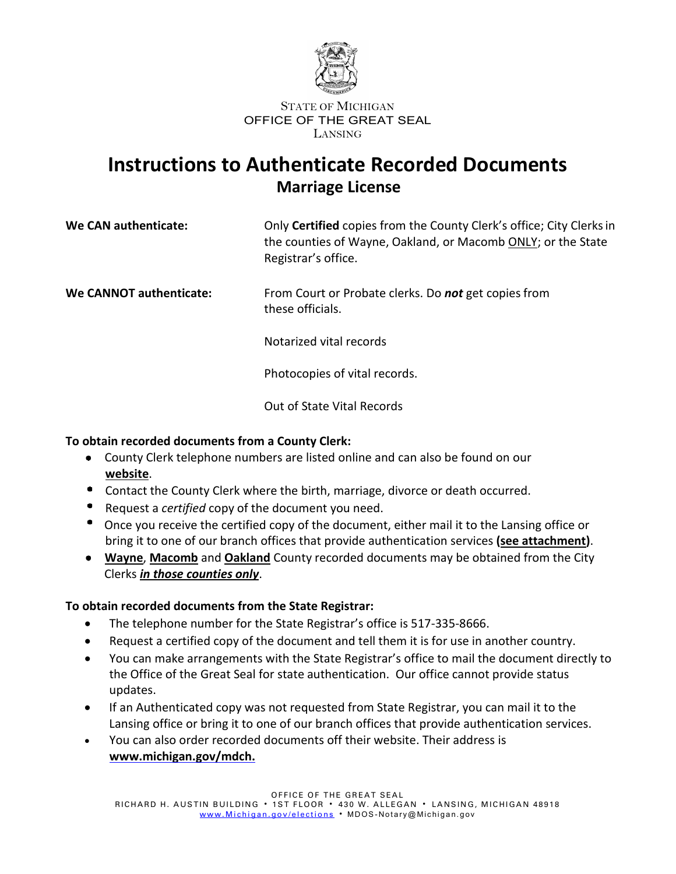

## **Instructions to Authenticate Recorded Documents Marriage License**

| We CAN authenticate:    | Only Certified copies from the County Clerk's office; City Clerks in<br>the counties of Wayne, Oakland, or Macomb ONLY; or the State<br>Registrar's office. |  |  |
|-------------------------|-------------------------------------------------------------------------------------------------------------------------------------------------------------|--|--|
| We CANNOT authenticate: | From Court or Probate clerks. Do not get copies from<br>these officials.                                                                                    |  |  |

Notarized vital records

Photocopies of vital records.

Out of State Vital Records

### **To obtain recorded documents from a County Clerk:**

- County Clerk telephone numbers are listed online and can also be found on our **website**.
- Contact the County Clerk where the birth, marriage, divorce or death occurred.
- $\bullet$ Request a *certified* copy of the document you need.
- $\bullet$ Once you receive the certified copy of the document, either mail it to the Lansing office or bring it to one of our branch offices that provide authentication services **[\(see attachment\)](https://www.michigan.gov/sos/elections/election-results-and-data/candidate-listings-and-election-results-by-county)**.
- **[Wayne](https://www.waynecounty.com/elected/clerk/home.aspx)**, **[Macomb](https://clerk.macombgov.org/Clerk-Elections)** and **[Oakland](https://www.oakgov.com/clerkrod/elections/Pages/default.aspx)** County recorded documents may be obtained from the City Clerks *in those counties only*.

### **To obtain recorded documents from the State Registrar:**

- The telephone number for the State Registrar's office is 517-335-8666.
- Request a certified copy of the document and tell them it is for use in another country.
- You can make arrangements with the State Registrar's office to mail the document directly to the Office of the Great Seal for state authentication. Our office cannot provide status updates.
- If an Authenticated copy was not requested from State Registrar, you can mail it to the Lansing office or bring it to one of our branch offices that provide authentication services.
- You can also order recorded documents off their website. Their address is **[www.michigan.gov/mdch.](http://www.mdch.state.mi.us/)**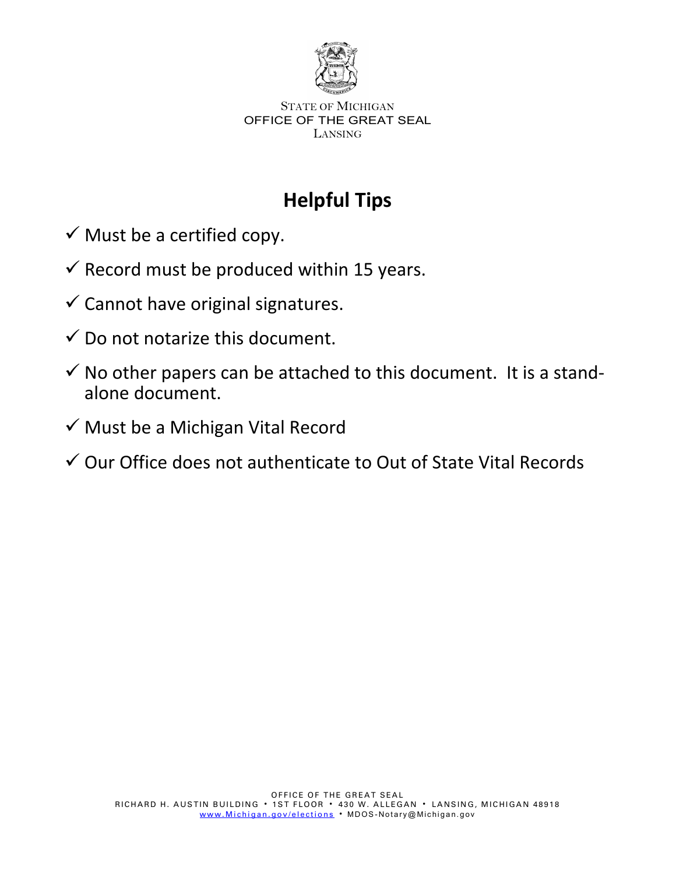

# **Helpful Tips**

- $\checkmark$  Must be a certified copy.
- $\checkmark$  Record must be produced within 15 years.
- $\checkmark$  Cannot have original signatures.
- $\checkmark$  Do not notarize this document.
- $\checkmark$  No other papers can be attached to this document. It is a standalone document.
- $\checkmark$  Must be a Michigan Vital Record
- $\checkmark$  Our Office does not authenticate to Out of State Vital Records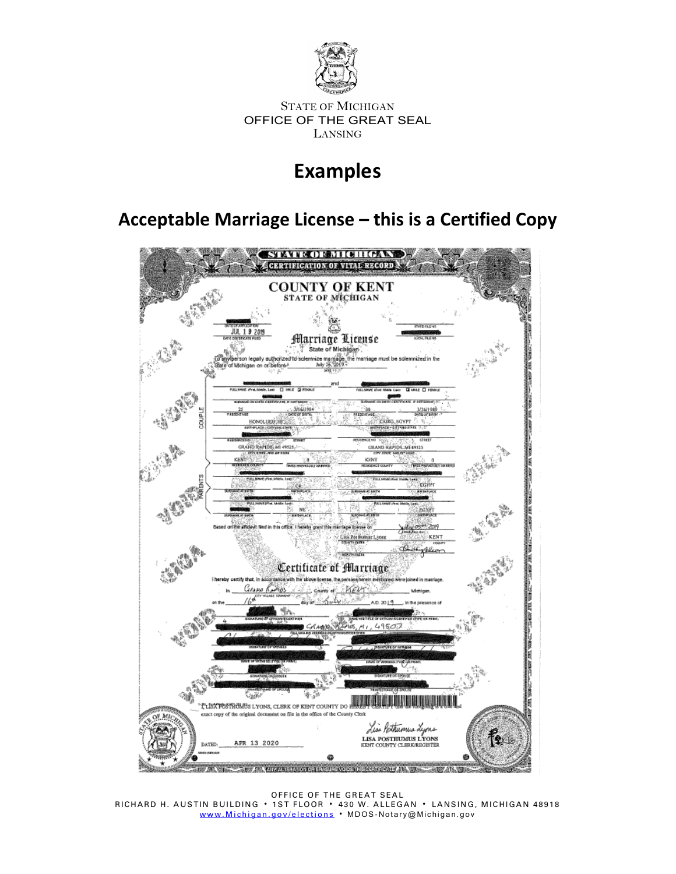

## **Examples**

### **Acceptable Marriage License – this is a Certified Copy**



OFFICE OF THE GREAT SEAL RICHARD H. AUSTIN BUILDING 1ST FLOOR 430 W. ALLEGAN LANSING, MICHIGAN 48918 www.<u>Michigan.gov/elections</u> • MDOS-Notary@Michigan.gov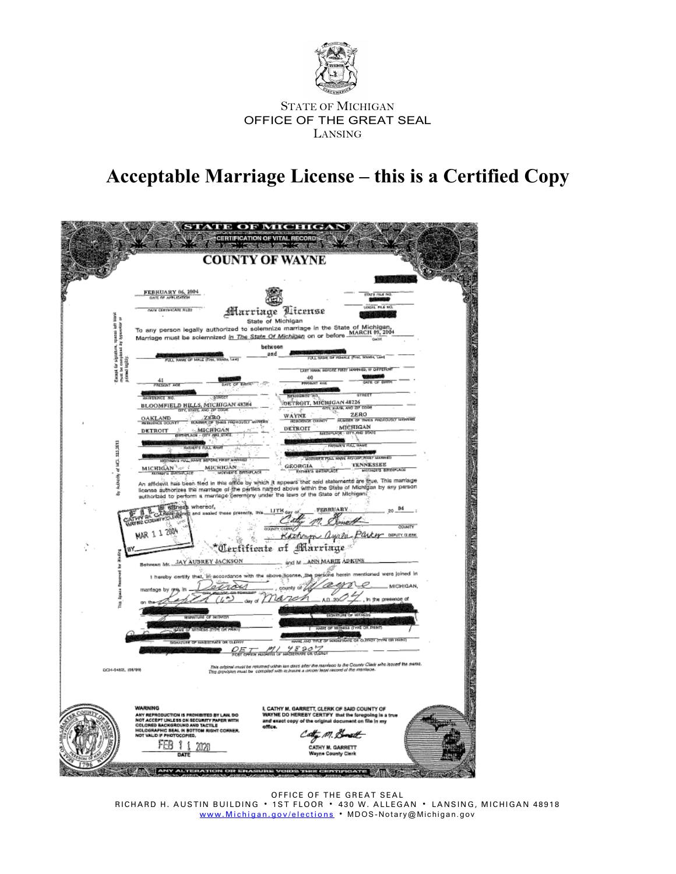

# **Acceptable Marriage License – this is a Certified Copy**

|                                                                                         |                                                                                                                                                                              | <b>TE OF MICHIGA</b><br><b>RTIFICATION OF VITAL RECORD</b>                                                                                                                                           |                     |
|-----------------------------------------------------------------------------------------|------------------------------------------------------------------------------------------------------------------------------------------------------------------------------|------------------------------------------------------------------------------------------------------------------------------------------------------------------------------------------------------|---------------------|
|                                                                                         | <b>COUNTY OF WAYNE</b>                                                                                                                                                       |                                                                                                                                                                                                      |                     |
|                                                                                         | FEBRUARY 06, 1904<br>DATE OF APPLICATION                                                                                                                                     | TOUTH FILE OIL                                                                                                                                                                                       |                     |
|                                                                                         | NAN CERTIFICATE RUSS                                                                                                                                                         | CAL ME & NY<br>Marriage Aicense                                                                                                                                                                      |                     |
| Get Hotel<br>z,                                                                         |                                                                                                                                                                              | State of Michigan                                                                                                                                                                                    |                     |
|                                                                                         | To any person legally authorized to solemnize marriage in the State of Michigan,<br>Marriage must be solemnized i <u>n The State Of Michigan</u> on or before MARCH 83, 2004 |                                                                                                                                                                                                      |                     |
| Essapt for signation, spaces left<br>must be completed by typenetor<br>printed legisly. | UCL NAME OF MALE (FIRST, MOORA, LAND                                                                                                                                         | between<br>and<br>FUEL SHAW OF FONALE (FIN), MINING, Long                                                                                                                                            |                     |
|                                                                                         |                                                                                                                                                                              | LAST NAME WEFORE FIRST MAPPERS, IF OFFICEEN                                                                                                                                                          |                     |
|                                                                                         | 41<br>present age<br><b>MTC OF</b>                                                                                                                                           | 40<br><b>WALKER</b>                                                                                                                                                                                  |                     |
|                                                                                         | <b>ROTORNOL NO</b><br>STREET<br>BLOOMFIELD HILLS, MICHIGAN 48384                                                                                                             | <b>GYLIOGHCE BO</b><br><b>GYREE</b><br>DETROIT, MICHIGAN 48226                                                                                                                                       | 医血管病 医心室 医心室性发育 医心室 |
|                                                                                         | <b>NO ZM</b><br><b>ISO</b><br><b>OAKLAND</b><br><b>UNITY WATER</b>                                                                                                           | ETC MASK, AND 27 COOR<br><b>ZERO</b><br>WÄYNE<br>NUMBER OF TIMES PROFOUSLY MARKING<br><b>RESIDENCE CITIN</b>                                                                                         |                     |
|                                                                                         | MICRIGAN<br>DETROIT<br><b>STORE PARTIES</b><br>an<br><b>AND GTAT</b>                                                                                                         | MICHIGAN<br>DETROIT<br>USTRIPLICE - CITY, AND STATE                                                                                                                                                  |                     |
|                                                                                         | <b>GRIER'S REL MAN</b>                                                                                                                                                       | ARTHUR'S FULL SAME                                                                                                                                                                                   |                     |
|                                                                                         | <b>STEVENIS WALL NAME BROOKS FRIET MAR</b><br><b>MICHIGAN</b><br>MICHIGAN at 2                                                                                               | MOTHER'S POLL HAVE REPORT RAISY MARRIED<br><b>TENNESSEE</b><br>x<br>GEORGIA<br>MOTIVER'S SHINPLACE<br>Rimses announce                                                                                |                     |
| Aubecky of HCL 333,2813                                                                 | MOTHER'S BRITISHLACE<br><b>ATHRES GATHE ACE</b>                                                                                                                              | An affidavit has been tiled in this office by which it appears that said statements are true. This mantage                                                                                           |                     |
| ă                                                                                       | authorized to perform a marriage ceremony under the laws of the State of Michigan?                                                                                           | Icense authorizes the marriage of the parties named above within the State of Michigan by any person                                                                                                 |                     |
|                                                                                         | g eftness whereof,<br>and assist these presents, this                                                                                                                        | FEBRUARY<br>84<br>LITH day of                                                                                                                                                                        |                     |
|                                                                                         | <b>MAR 1 1 2004</b>                                                                                                                                                          | Karhaya Ayala<br>Parter<br><b>DEPUTY GLERK</b>                                                                                                                                                       |                     |
|                                                                                         |                                                                                                                                                                              | Certificate of Marriage                                                                                                                                                                              |                     |
| 3                                                                                       | <b>Between Mr. JAY AUBREY JACKSON</b>                                                                                                                                        | and M _ANN MARIE ADKINS                                                                                                                                                                              |                     |
|                                                                                         | I hereby certify that, ift accordance with the above.]                                                                                                                       | conse, the persons herein mentioned were joined in                                                                                                                                                   |                     |
|                                                                                         | marrisgs by<br>ď                                                                                                                                                             | MICHIGAN,<br>county<br>A.D. 20C<br>In the presence of<br>LB.                                                                                                                                         |                     |
| ž                                                                                       | <b>WANTURE OF WITHER</b>                                                                                                                                                     | <b>ROARTUNE OF WEL</b>                                                                                                                                                                               |                     |
|                                                                                         | <b>WHE OF</b><br><b>CONTRACTOR</b>                                                                                                                                           | HARR OF MITHESE (I'VED OIL PRINT                                                                                                                                                                     |                     |
|                                                                                         | SONAIGNE OF HARBITINGS OR CLERK                                                                                                                                              | OF HASKESAPE OR CURRENT (TYPE OR PHINT)                                                                                                                                                              |                     |
|                                                                                         |                                                                                                                                                                              | 95907                                                                                                                                                                                                |                     |
| 0014-04825, 108/898                                                                     |                                                                                                                                                                              | This original must be resumed udden tan days after the maniface to the Clounty Client who leased the swaat.<br>This playiples must be -complied with in Journa a uncon least record of the maniface. |                     |
|                                                                                         |                                                                                                                                                                              |                                                                                                                                                                                                      |                     |
|                                                                                         | <b>WARNING</b><br>ANY REPRODUCTION IS PROHIBITED BY LAW, DO                                                                                                                  | I, CATHY M. GARRETT, CLERK OF SAID COUNTY OF<br>WAYNE DO HEREBY CERTIFY that the foregoing is a true                                                                                                 |                     |
|                                                                                         | NOT ACCEPT UNLESS ON SECURITY PAPER WITH<br>COLORED BACKGROUND AND TACTILE<br>HOLOGRAPHIC SEAL IN BOTTOM RIGHT CORNER.<br>NOT VALID IF PHOTOCOPIED,                          | and exact copy of the original document on file in my<br>office.                                                                                                                                     |                     |
|                                                                                         | rea<br>2020                                                                                                                                                                  | - m. A<br>CATHY M. GARRETT                                                                                                                                                                           |                     |
|                                                                                         | DATE                                                                                                                                                                         | <b>Wayne County Clerk</b>                                                                                                                                                                            |                     |
|                                                                                         |                                                                                                                                                                              |                                                                                                                                                                                                      |                     |

OFFICE OF THE GREAT SEAL RICHARD H. AUSTIN BUILDING 1ST FLOOR 430 W. ALLEGAN LANSING, MICHIGAN 48918 www.<u>Michigan.gov/elections</u> • MDOS-Notary@Michigan.gov